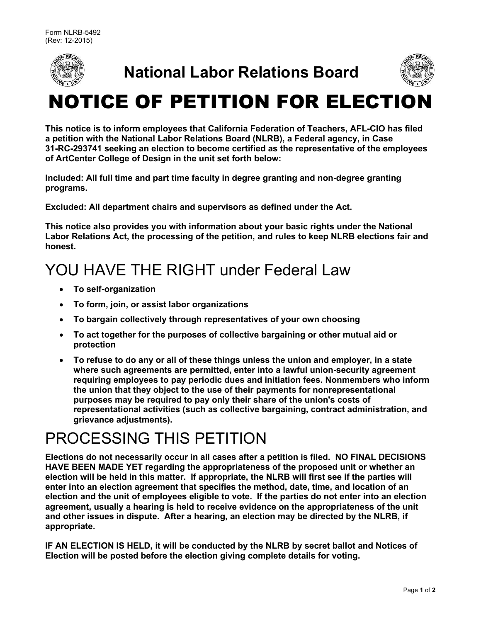

**National Labor Relations Board**



## NOTICE OF PETITION FOR ELECTION

**This notice is to inform employees that California Federation of Teachers, AFL-CIO has filed a petition with the National Labor Relations Board (NLRB), a Federal agency, in Case 31-RC-293741 seeking an election to become certified as the representative of the employees of ArtCenter College of Design in the unit set forth below:**

**Included: All full time and part time faculty in degree granting and non-degree granting programs.** 

**Excluded: All department chairs and supervisors as defined under the Act.**

**This notice also provides you with information about your basic rights under the National Labor Relations Act, the processing of the petition, and rules to keep NLRB elections fair and honest.**

## YOU HAVE THE RIGHT under Federal Law

- **To self-organization**
- **To form, join, or assist labor organizations**
- **To bargain collectively through representatives of your own choosing**
- **To act together for the purposes of collective bargaining or other mutual aid or protection**
- **To refuse to do any or all of these things unless the union and employer, in a state where such agreements are permitted, enter into a lawful union-security agreement requiring employees to pay periodic dues and initiation fees. Nonmembers who inform the union that they object to the use of their payments for nonrepresentational purposes may be required to pay only their share of the union's costs of representational activities (such as collective bargaining, contract administration, and grievance adjustments).**

## PROCESSING THIS PETITION

**Elections do not necessarily occur in all cases after a petition is filed. NO FINAL DECISIONS HAVE BEEN MADE YET regarding the appropriateness of the proposed unit or whether an election will be held in this matter. If appropriate, the NLRB will first see if the parties will enter into an election agreement that specifies the method, date, time, and location of an election and the unit of employees eligible to vote. If the parties do not enter into an election agreement, usually a hearing is held to receive evidence on the appropriateness of the unit and other issues in dispute. After a hearing, an election may be directed by the NLRB, if appropriate.** 

**IF AN ELECTION IS HELD, it will be conducted by the NLRB by secret ballot and Notices of Election will be posted before the election giving complete details for voting.**